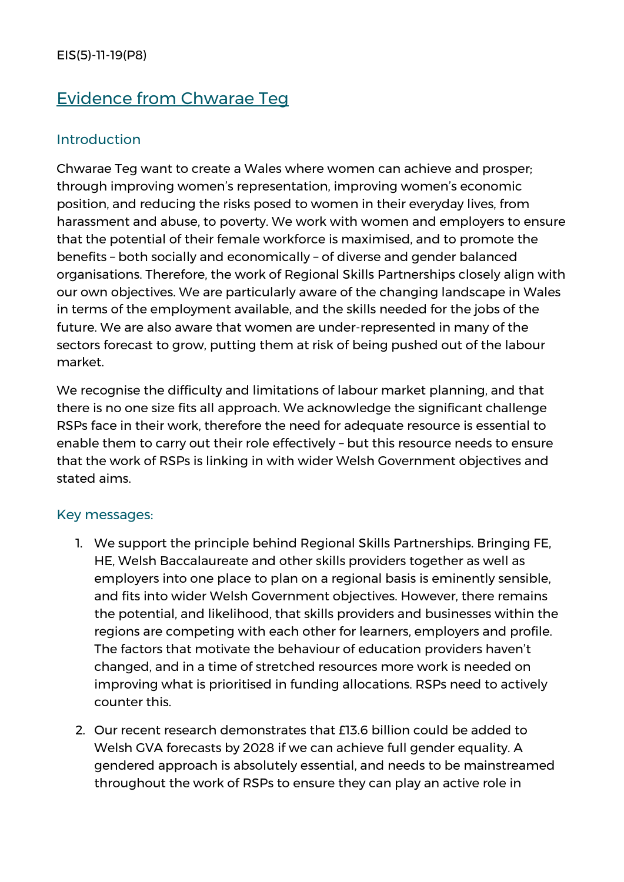# Evidence from Chwarae Teg

#### **Introduction**

Chwarae Teg want to create a Wales where women can achieve and prosper; through improving women's representation, improving women's economic position, and reducing the risks posed to women in their everyday lives, from harassment and abuse, to poverty. We work with women and employers to ensure that the potential of their female workforce is maximised, and to promote the benefits – both socially and economically – of diverse and gender balanced organisations. Therefore, the work of Regional Skills Partnerships closely align with our own objectives. We are particularly aware of the changing landscape in Wales in terms of the employment available, and the skills needed for the jobs of the future. We are also aware that women are under-represented in many of the sectors forecast to grow, putting them at risk of being pushed out of the labour market.

We recognise the difficulty and limitations of labour market planning, and that there is no one size fits all approach. We acknowledge the significant challenge RSPs face in their work, therefore the need for adequate resource is essential to enable them to carry out their role effectively – but this resource needs to ensure that the work of RSPs is linking in with wider Welsh Government objectives and stated aims.

#### Key messages:

- 1. We support the principle behind Regional Skills Partnerships. Bringing FE, HE, Welsh Baccalaureate and other skills providers together as well as employers into one place to plan on a regional basis is eminently sensible, and fits into wider Welsh Government objectives. However, there remains the potential, and likelihood, that skills providers and businesses within the regions are competing with each other for learners, employers and profile. The factors that motivate the behaviour of education providers haven't changed, and in a time of stretched resources more work is needed on improving what is prioritised in funding allocations. RSPs need to actively counter this.
- 2. Our recent research demonstrates that £13.6 billion could be added to Welsh GVA forecasts by 2028 if we can achieve full gender equality. A gendered approach is absolutely essential, and needs to be mainstreamed throughout the work of RSPs to ensure they can play an active role in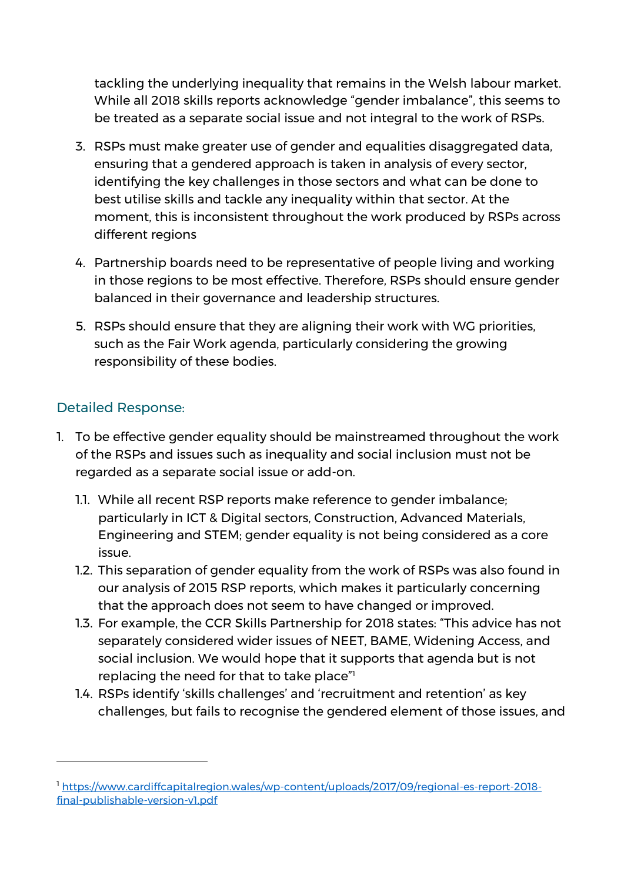tackling the underlying inequality that remains in the Welsh labour market. While all 2018 skills reports acknowledge "gender imbalance", this seems to be treated as a separate social issue and not integral to the work of RSPs.

- 3. RSPs must make greater use of gender and equalities disaggregated data, ensuring that a gendered approach is taken in analysis of every sector, identifying the key challenges in those sectors and what can be done to best utilise skills and tackle any inequality within that sector. At the moment, this is inconsistent throughout the work produced by RSPs across different regions
- 4. Partnership boards need to be representative of people living and working in those regions to be most effective. Therefore, RSPs should ensure gender balanced in their governance and leadership structures.
- 5. RSPs should ensure that they are aligning their work with WG priorities, such as the Fair Work agenda, particularly considering the growing responsibility of these bodies.

#### Detailed Response:

- 1. To be effective gender equality should be mainstreamed throughout the work of the RSPs and issues such as inequality and social inclusion must not be regarded as a separate social issue or add-on.
	- 1.1. While all recent RSP reports make reference to gender imbalance; particularly in ICT & Digital sectors, Construction, Advanced Materials, Engineering and STEM; gender equality is not being considered as a core issue.
	- 1.2. This separation of gender equality from the work of RSPs was also found in our analysis of 2015 RSP reports, which makes it particularly concerning that the approach does not seem to have changed or improved.
	- 1.3. For example, the CCR Skills Partnership for 2018 states: "This advice has not separately considered wider issues of NEET, BAME, Widening Access, and social inclusion. We would hope that it supports that agenda but is not replacing the need for that to take place"<sup>1</sup>
	- 1.4. RSPs identify 'skills challenges' and 'recruitment and retention' as key challenges, but fails to recognise the gendered element of those issues, and

<sup>1</sup> [https://www.cardiffcapitalregion.wales/wp-content/uploads/2017/09/regional-es-report-2018](https://www.cardiffcapitalregion.wales/wp-content/uploads/2017/09/regional-es-report-2018-final-publishable-version-v1.pdf) [final-publishable-version-v1.pdf](https://www.cardiffcapitalregion.wales/wp-content/uploads/2017/09/regional-es-report-2018-final-publishable-version-v1.pdf)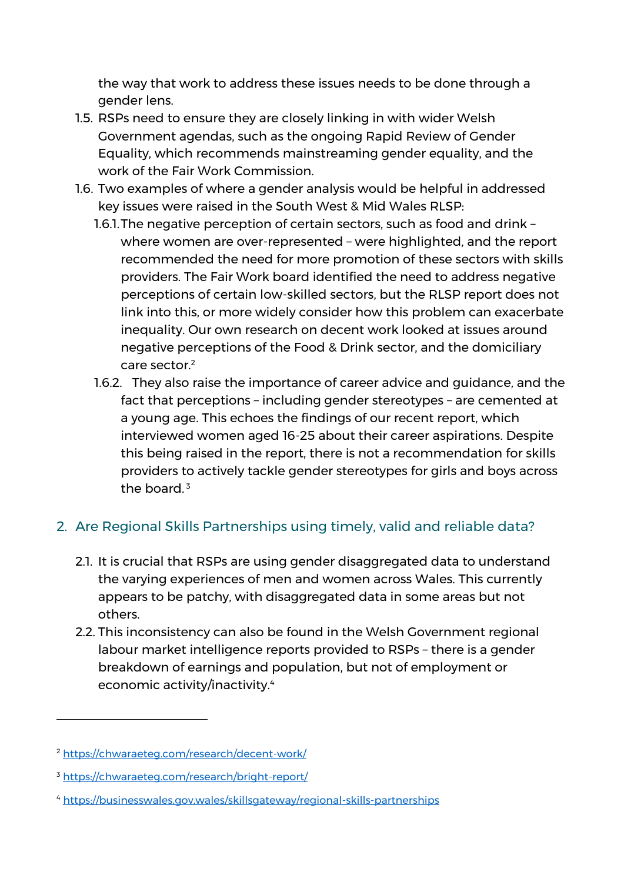the way that work to address these issues needs to be done through a gender lens.

- 1.5. RSPs need to ensure they are closely linking in with wider Welsh Government agendas, such as the ongoing Rapid Review of Gender Equality, which recommends mainstreaming gender equality, and the work of the Fair Work Commission.
- 1.6. Two examples of where a gender analysis would be helpful in addressed key issues were raised in the South West & Mid Wales RLSP:
	- 1.6.1.The negative perception of certain sectors, such as food and drink where women are over-represented – were highlighted, and the report recommended the need for more promotion of these sectors with skills providers. The Fair Work board identified the need to address negative perceptions of certain low-skilled sectors, but the RLSP report does not link into this, or more widely consider how this problem can exacerbate inequality. Our own research on decent work looked at issues around negative perceptions of the Food & Drink sector, and the domiciliary care sector.<sup>2</sup>
	- 1.6.2. They also raise the importance of career advice and guidance, and the fact that perceptions – including gender stereotypes – are cemented at a young age. This echoes the findings of our recent report, which interviewed women aged 16-25 about their career aspirations. Despite this being raised in the report, there is not a recommendation for skills providers to actively tackle gender stereotypes for girls and boys across the board. $3$

## 2. Are Regional Skills Partnerships using timely, valid and reliable data?

- 2.1. It is crucial that RSPs are using gender disaggregated data to understand the varying experiences of men and women across Wales. This currently appears to be patchy, with disaggregated data in some areas but not others.
- 2.2. This inconsistency can also be found in the Welsh Government regional labour market intelligence reports provided to RSPs – there is a gender breakdown of earnings and population, but not of employment or economic activity/inactivity.<sup>4</sup>

<sup>2</sup> <https://chwaraeteg.com/research/decent-work/>

<sup>3</sup> <https://chwaraeteg.com/research/bright-report/>

<sup>4</sup> <https://businesswales.gov.wales/skillsgateway/regional-skills-partnerships>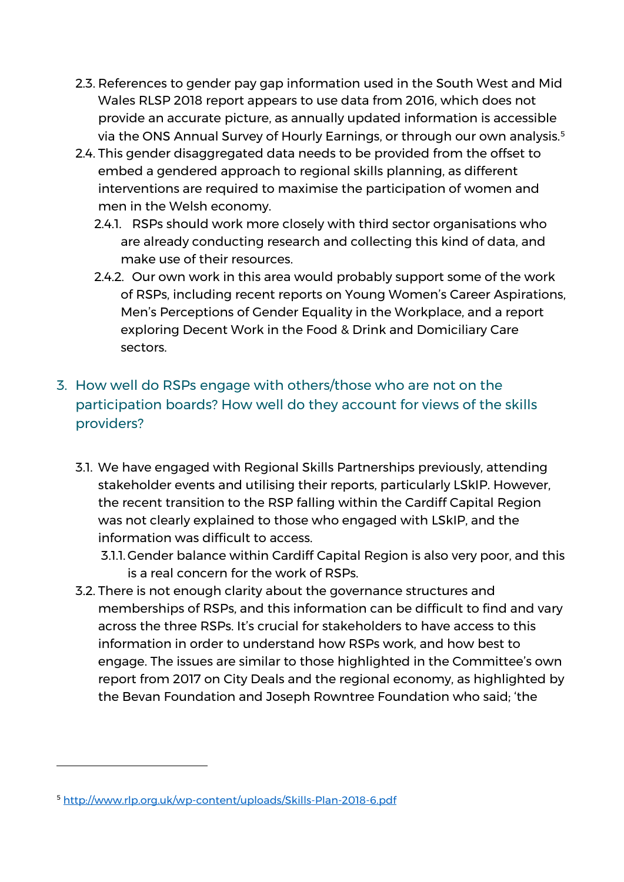- 2.3. References to gender pay gap information used in the South West and Mid Wales RLSP 2018 report appears to use data from 2016, which does not provide an accurate picture, as annually updated information is accessible via the ONS Annual Survey of Hourly Earnings, or through our own analysis.<sup>5</sup>
- 2.4. This gender disaggregated data needs to be provided from the offset to embed a gendered approach to regional skills planning, as different interventions are required to maximise the participation of women and men in the Welsh economy.
	- 2.4.1. RSPs should work more closely with third sector organisations who are already conducting research and collecting this kind of data, and make use of their resources.
	- 2.4.2. Our own work in this area would probably support some of the work of RSPs, including recent reports on Young Women's Career Aspirations, Men's Perceptions of Gender Equality in the Workplace, and a report exploring Decent Work in the Food & Drink and Domiciliary Care sectors.

## 3. How well do RSPs engage with others/those who are not on the participation boards? How well do they account for views of the skills providers?

- 3.1. We have engaged with Regional Skills Partnerships previously, attending stakeholder events and utilising their reports, particularly LSkIP. However, the recent transition to the RSP falling within the Cardiff Capital Region was not clearly explained to those who engaged with LSkIP, and the information was difficult to access.
	- 3.1.1. Gender balance within Cardiff Capital Region is also very poor, and this is a real concern for the work of RSPs.
- 3.2. There is not enough clarity about the governance structures and memberships of RSPs, and this information can be difficult to find and vary across the three RSPs. It's crucial for stakeholders to have access to this information in order to understand how RSPs work, and how best to engage. The issues are similar to those highlighted in the Committee's own report from 2017 on City Deals and the regional economy, as highlighted by the Bevan Foundation and Joseph Rowntree Foundation who said; 'the

<sup>5</sup> <http://www.rlp.org.uk/wp-content/uploads/Skills-Plan-2018-6.pdf>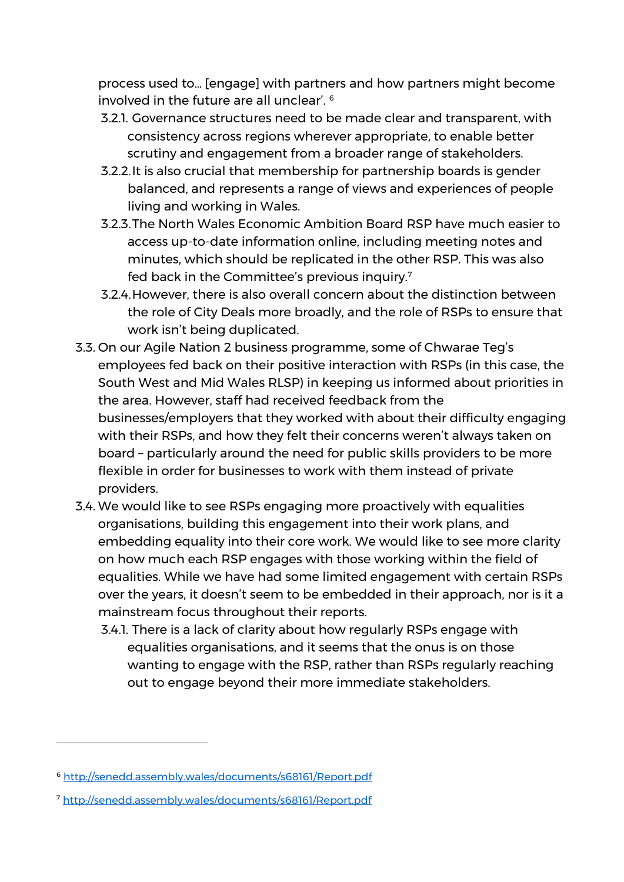process used to… [engage] with partners and how partners might become involved in the future are all unclear'. <sup>6</sup>

- 3.2.1. Governance structures need to be made clear and transparent, with consistency across regions wherever appropriate, to enable better scrutiny and engagement from a broader range of stakeholders.
- 3.2.2.It is also crucial that membership for partnership boards is gender balanced, and represents a range of views and experiences of people living and working in Wales.
- 3.2.3.The North Wales Economic Ambition Board RSP have much easier to access up-to-date information online, including meeting notes and minutes, which should be replicated in the other RSP. This was also fed back in the Committee's previous inquiry.<sup>7</sup>
- 3.2.4.However, there is also overall concern about the distinction between the role of City Deals more broadly, and the role of RSPs to ensure that work isn't being duplicated.
- 3.3. On our Agile Nation 2 business programme, some of Chwarae Teg's employees fed back on their positive interaction with RSPs (in this case, the South West and Mid Wales RLSP) in keeping us informed about priorities in the area. However, staff had received feedback from the businesses/employers that they worked with about their difficulty engaging with their RSPs, and how they felt their concerns weren't always taken on board – particularly around the need for public skills providers to be more flexible in order for businesses to work with them instead of private providers.
- 3.4. We would like to see RSPs engaging more proactively with equalities organisations, building this engagement into their work plans, and embedding equality into their core work. We would like to see more clarity on how much each RSP engages with those working within the field of equalities. While we have had some limited engagement with certain RSPs over the years, it doesn't seem to be embedded in their approach, nor is it a mainstream focus throughout their reports.
	- 3.4.1. There is a lack of clarity about how regularly RSPs engage with equalities organisations, and it seems that the onus is on those wanting to engage with the RSP, rather than RSPs regularly reaching out to engage beyond their more immediate stakeholders.

<sup>6</sup> <http://senedd.assembly.wales/documents/s68161/Report.pdf>

<sup>7</sup> <http://senedd.assembly.wales/documents/s68161/Report.pdf>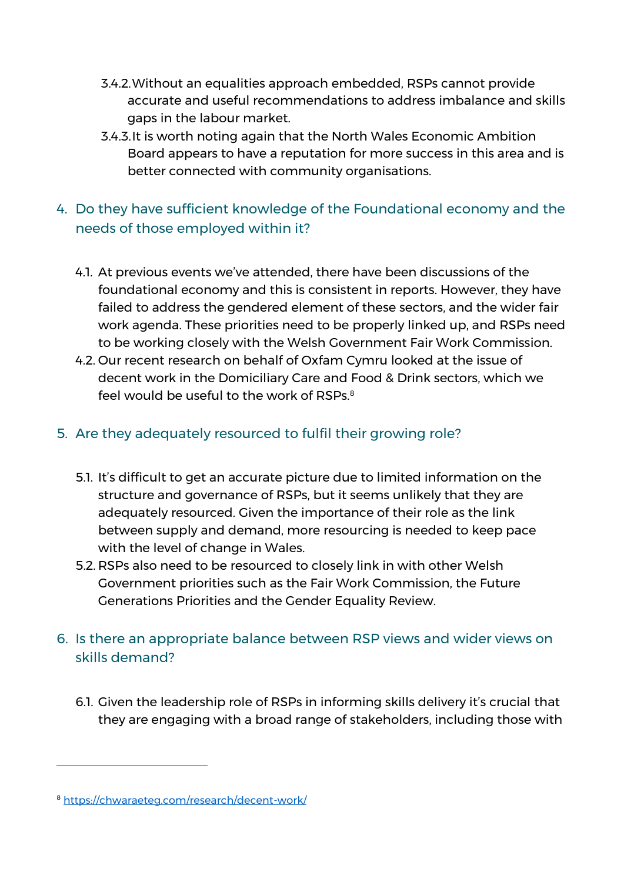- 3.4.2.Without an equalities approach embedded, RSPs cannot provide accurate and useful recommendations to address imbalance and skills gaps in the labour market.
- 3.4.3.It is worth noting again that the North Wales Economic Ambition Board appears to have a reputation for more success in this area and is better connected with community organisations.

## 4. Do they have sufficient knowledge of the Foundational economy and the needs of those employed within it?

- 4.1. At previous events we've attended, there have been discussions of the foundational economy and this is consistent in reports. However, they have failed to address the gendered element of these sectors, and the wider fair work agenda. These priorities need to be properly linked up, and RSPs need to be working closely with the Welsh Government Fair Work Commission.
- 4.2. Our recent research on behalf of Oxfam Cymru looked at the issue of decent work in the Domiciliary Care and Food & Drink sectors, which we feel would be useful to the work of RSPs.<sup>8</sup>

#### 5. Are they adequately resourced to fulfil their growing role?

- 5.1. It's difficult to get an accurate picture due to limited information on the structure and governance of RSPs, but it seems unlikely that they are adequately resourced. Given the importance of their role as the link between supply and demand, more resourcing is needed to keep pace with the level of change in Wales.
- 5.2. RSPs also need to be resourced to closely link in with other Welsh Government priorities such as the Fair Work Commission, the Future Generations Priorities and the Gender Equality Review.
- 6. Is there an appropriate balance between RSP views and wider views on skills demand?
	- 6.1. Given the leadership role of RSPs in informing skills delivery it's crucial that they are engaging with a broad range of stakeholders, including those with

<sup>8</sup> <https://chwaraeteg.com/research/decent-work/>